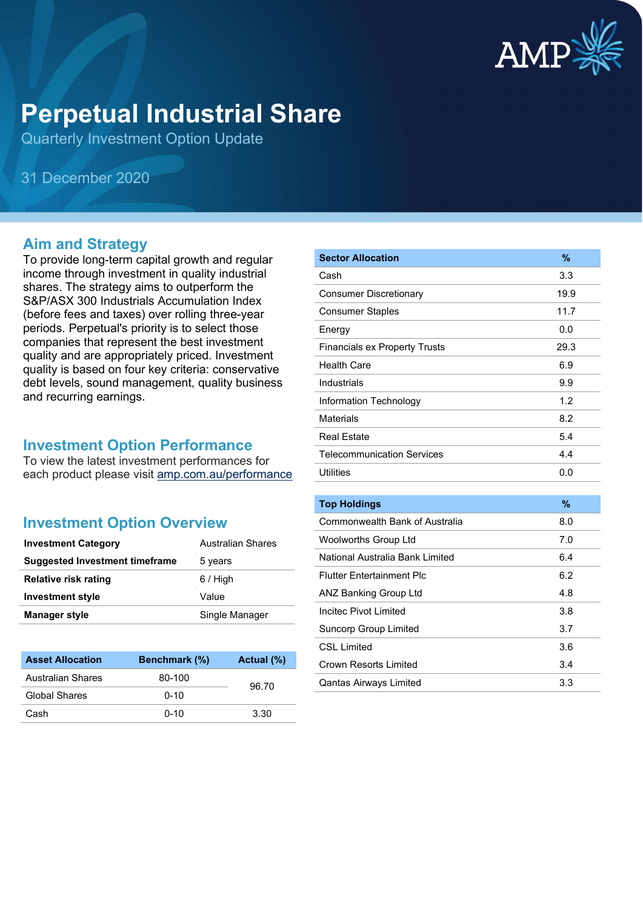

# **Perpetual Industrial Share**

Quarterly Investment Option Update

31 December 2020

#### **Aim and Strategy**

To provide long-term capital growth and regular income through investment in quality industrial shares. The strategy aims to outperform the S&P/ASX 300 Industrials Accumulation Index (before fees and taxes) over rolling three-year periods. Perpetual's priority is to select those companies that represent the best investment quality and are appropriately priced. Investment quality is based on four key criteria: conservative debt levels, sound management, quality business and recurring earnings.

#### **Investment Option Performance**

To view the latest investment performances for each product please visit [amp.com.au/performance](https://www.amp.com.au/performance)

#### **Investment Option Overview**

| <b>Investment Category</b>     | <b>Australian Shares</b> |
|--------------------------------|--------------------------|
| Suggested Investment timeframe | 5 years                  |
| <b>Relative risk rating</b>    | $6/$ High                |
| <b>Investment style</b>        | Value                    |
| <b>Manager style</b>           | Single Manager           |

| <b>Asset Allocation</b> | Benchmark (%) | Actual (%) |
|-------------------------|---------------|------------|
| Australian Shares       | 80-100        | 96.70      |
| Global Shares           | $0 - 10$      |            |
| Cash                    | $0 - 10$      | 3.30       |

| <b>Sector Allocation</b>             | $\frac{9}{6}$ |
|--------------------------------------|---------------|
| Cash                                 | 3.3           |
| <b>Consumer Discretionary</b>        | 19.9          |
| <b>Consumer Staples</b>              | 11.7          |
| Energy                               | 0.0           |
| <b>Financials ex Property Trusts</b> | 29.3          |
| <b>Health Care</b>                   | 6.9           |
| Industrials                          | 9.9           |
| Information Technology               | 1.2           |
| <b>Materials</b>                     | 8.2           |
| <b>Real Estate</b>                   | 5.4           |
| <b>Telecommunication Services</b>    | 4.4           |
| <b>Utilities</b>                     | 0.0           |
|                                      |               |
| <b>Top Holdings</b>                  | $\%$          |
| Commonwealth Bank of Australia       | 8.0           |
| <b>Woolworths Group Ltd</b>          | 7.0           |
| National Australia Bank Limited      | 6.4           |
| <b>Flutter Entertainment Plc</b>     | 6.2           |
| <b>ANZ Banking Group Ltd</b>         | 4.8           |
| Incited Pivot Limited                | 3.8           |
| <b>Suncorp Group Limited</b>         | 3.7           |
| <b>CSL Limited</b>                   | 3.6           |
| <b>Crown Resorts Limited</b>         | 3.4           |
| <b>Qantas Airways Limited</b>        | 3.3           |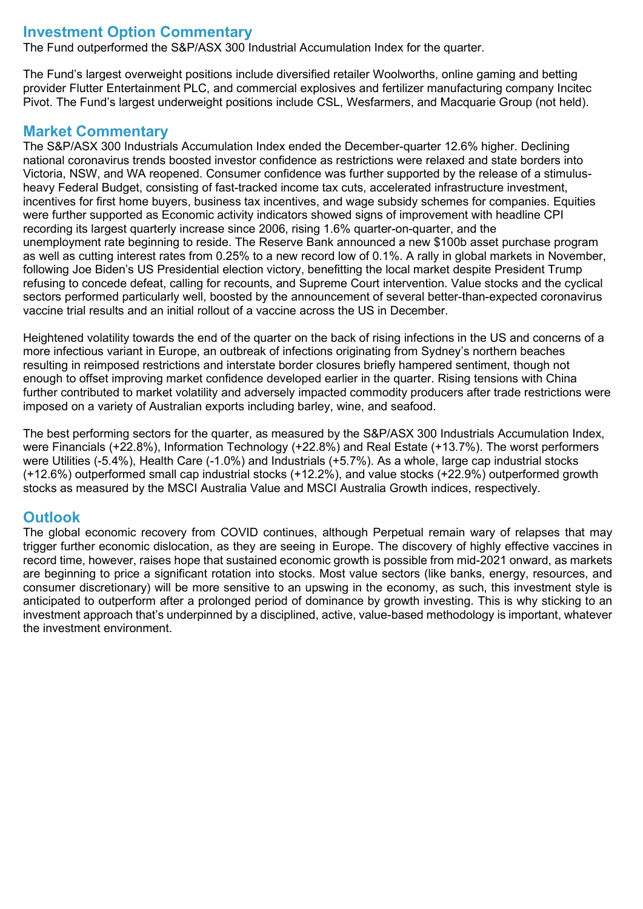## **Investment Option Commentary**

The Fund outperformed the S&P/ASX 300 Industrial Accumulation Index for the quarter.

The Fund's largest overweight positions include diversified retailer Woolworths, online gaming and betting provider Flutter Entertainment PLC, and commercial explosives and fertilizer manufacturing company Incitec Pivot. The Fund's largest underweight positions include CSL, Wesfarmers, and Macquarie Group (not held).

#### **Market Commentary**

The S&P/ASX 300 Industrials Accumulation Index ended the December-quarter 12.6% higher. Declining national coronavirus trends boosted investor confidence as restrictions were relaxed and state borders into Victoria, NSW, and WA reopened. Consumer confidence was further supported by the release of a stimulusheavy Federal Budget, consisting of fast-tracked income tax cuts, accelerated infrastructure investment, incentives for first home buyers, business tax incentives, and wage subsidy schemes for companies. Equities were further supported as Economic activity indicators showed signs of improvement with headline CPI recording its largest quarterly increase since 2006, rising 1.6% quarter-on-quarter, and the unemployment rate beginning to reside. The Reserve Bank announced a new \$100b asset purchase program as well as cutting interest rates from 0.25% to a new record low of 0.1%. A rally in global markets in November, following Joe Biden's US Presidential election victory, benefitting the local market despite President Trump refusing to concede defeat, calling for recounts, and Supreme Court intervention. Value stocks and the cyclical sectors performed particularly well, boosted by the announcement of several better-than-expected coronavirus vaccine trial results and an initial rollout of a vaccine across the US in December.

Heightened volatility towards the end of the quarter on the back of rising infections in the US and concerns of a more infectious variant in Europe, an outbreak of infections originating from Sydney's northern beaches resulting in reimposed restrictions and interstate border closures briefly hampered sentiment, though not enough to offset improving market confidence developed earlier in the quarter. Rising tensions with China further contributed to market volatility and adversely impacted commodity producers after trade restrictions were imposed on a variety of Australian exports including barley, wine, and seafood.

The best performing sectors for the quarter, as measured by the S&P/ASX 300 Industrials Accumulation Index, were Financials (+22.8%), Information Technology (+22.8%) and Real Estate (+13.7%). The worst performers were Utilities (-5.4%), Health Care (-1.0%) and Industrials (+5.7%). As a whole, large cap industrial stocks (+12.6%) outperformed small cap industrial stocks (+12.2%), and value stocks (+22.9%) outperformed growth stocks as measured by the MSCI Australia Value and MSCI Australia Growth indices, respectively.

### **Outlook**

The global economic recovery from COVID continues, although Perpetual remain wary of relapses that may trigger further economic dislocation, as they are seeing in Europe. The discovery of highly effective vaccines in record time, however, raises hope that sustained economic growth is possible from mid-2021 onward, as markets are beginning to price a significant rotation into stocks. Most value sectors (like banks, energy, resources, and consumer discretionary) will be more sensitive to an upswing in the economy, as such, this investment style is anticipated to outperform after a prolonged period of dominance by growth investing. This is why sticking to an investment approach that's underpinned by a disciplined, active, value-based methodology is important, whatever the investment environment.